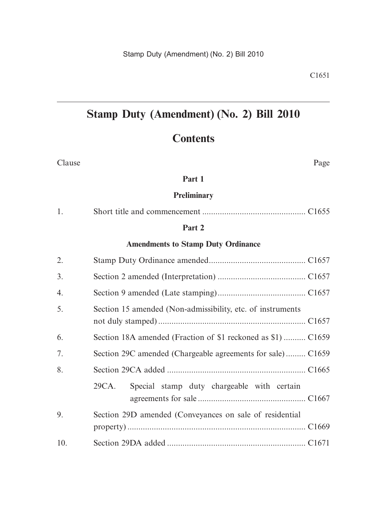# **Stamp Duty (Amendment) (No. 2) Bill 2010**

# **Contents**

| Clause                                    | Page                                                         |  |  |  |  |
|-------------------------------------------|--------------------------------------------------------------|--|--|--|--|
| Part 1                                    |                                                              |  |  |  |  |
|                                           | <b>Preliminary</b>                                           |  |  |  |  |
| 1.                                        |                                                              |  |  |  |  |
|                                           | Part 2                                                       |  |  |  |  |
| <b>Amendments to Stamp Duty Ordinance</b> |                                                              |  |  |  |  |
| 2.                                        |                                                              |  |  |  |  |
| 3.                                        |                                                              |  |  |  |  |
| 4.                                        |                                                              |  |  |  |  |
| 5.                                        | Section 15 amended (Non-admissibility, etc. of instruments   |  |  |  |  |
| 6.                                        | Section 18A amended (Fraction of \$1 reckoned as \$1)  C1659 |  |  |  |  |
| 7.                                        | Section 29C amended (Chargeable agreements for sale) C1659   |  |  |  |  |
| 8.                                        |                                                              |  |  |  |  |
|                                           | 29CA.<br>Special stamp duty chargeable with certain          |  |  |  |  |
| 9.                                        | Section 29D amended (Conveyances on sale of residential      |  |  |  |  |
| 10.                                       |                                                              |  |  |  |  |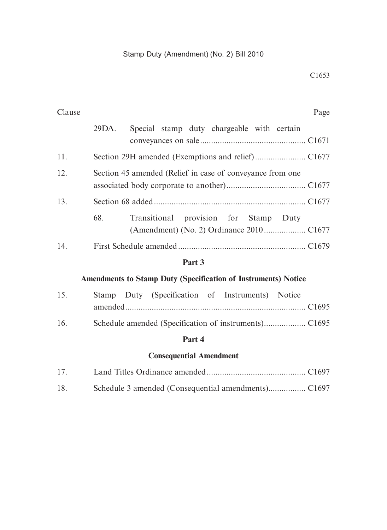| Clause                                                                | Page                                                      |  |  |  |  |
|-----------------------------------------------------------------------|-----------------------------------------------------------|--|--|--|--|
|                                                                       | Special stamp duty chargeable with certain<br>29DA.       |  |  |  |  |
| 11.                                                                   |                                                           |  |  |  |  |
| 12.                                                                   | Section 45 amended (Relief in case of conveyance from one |  |  |  |  |
| 13.                                                                   |                                                           |  |  |  |  |
|                                                                       | 68.<br>Transitional provision for Stamp Duty              |  |  |  |  |
| 14.                                                                   |                                                           |  |  |  |  |
|                                                                       | Part 3                                                    |  |  |  |  |
| <b>Amendments to Stamp Duty (Specification of Instruments) Notice</b> |                                                           |  |  |  |  |
| 15.                                                                   | Stamp Duty (Specification of Instruments) Notice          |  |  |  |  |
| 16.                                                                   |                                                           |  |  |  |  |
|                                                                       | Part 4                                                    |  |  |  |  |
|                                                                       | <b>Consequential Amendment</b>                            |  |  |  |  |
| 17.                                                                   |                                                           |  |  |  |  |
| 18.                                                                   |                                                           |  |  |  |  |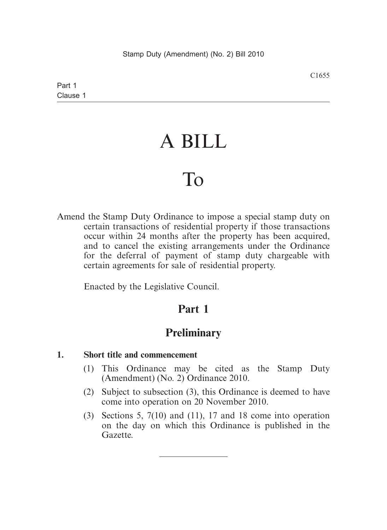# A BILL

# To

Amend the Stamp Duty Ordinance to impose a special stamp duty on certain transactions of residential property if those transactions occur within 24 months after the property has been acquired, and to cancel the existing arrangements under the Ordinance for the deferral of payment of stamp duty chargeable with certain agreements for sale of residential property.

Enacted by the Legislative Council.

# **Part 1**

# **Preliminary**

#### **1. Short title and commencement**

- (1) This Ordinance may be cited as the Stamp Duty (Amendment) (No. 2) Ordinance 2010.
- (2) Subject to subsection (3), this Ordinance is deemed to have come into operation on 20 November 2010.
- (3) Sections 5, 7(10) and (11), 17 and 18 come into operation on the day on which this Ordinance is published in the Gazette.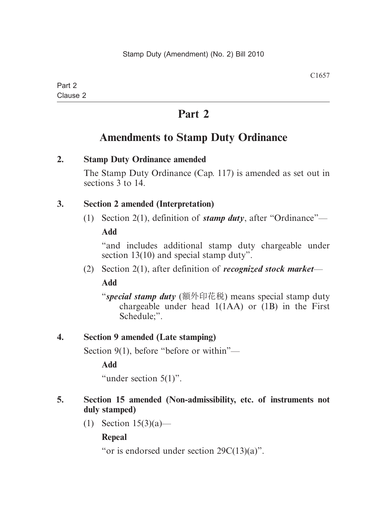# **Part 2**

# **Amendments to Stamp Duty Ordinance**

# **2. Stamp Duty Ordinance amended**

The Stamp Duty Ordinance (Cap. 117) is amended as set out in sections 3 to 14.

# **3. Section 2 amended (Interpretation)**

(1) Section 2(1), definition of *stamp duty*, after "Ordinance"—

**Add**

"and includes additional stamp duty chargeable under section 13(10) and special stamp duty".

(2) Section 2(1), after definition of *recognized stock market*—

**Add**

"*special stamp duty* (額外印花稅) means special stamp duty chargeable under head  $1(1AA)$  or  $(1B)$  in the First Schedule;".

# **4. Section 9 amended (Late stamping)**

Section 9(1), before "before or within"—

**Add**

"under section 5(1)".

# **5. Section 15 amended (Non-admissibility, etc. of instruments not duly stamped)**

(1) Section 15(3)(a)—

**Repeal**

"or is endorsed under section 29C(13)(a)".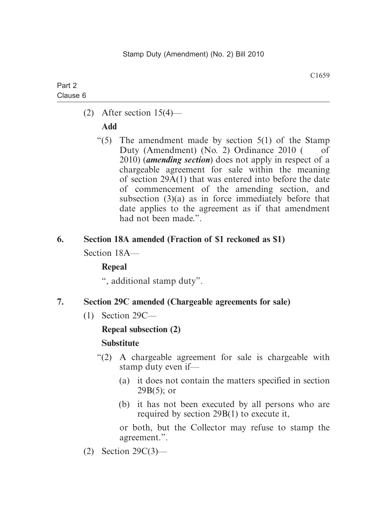(2) After section  $15(4)$ —

# **Add**

"(5) The amendment made by section  $5(1)$  of the Stamp Duty (Amendment) (No. 2) Ordinance 2010 ( of 2010) (*amending section*) does not apply in respect of a chargeable agreement for sale within the meaning of section 29A(1) that was entered into before the date of commencement of the amending section, and subsection (3)(a) as in force immediately before that date applies to the agreement as if that amendment had not been made.".

# **6. Section 18A amended (Fraction of \$1 reckoned as \$1)**

Section 18A—

# **Repeal**

", additional stamp duty".

# **7. Section 29C amended (Chargeable agreements for sale)**

(1) Section 29C—

# **Repeal subsection (2)**

# **Substitute**

- "(2) A chargeable agreement for sale is chargeable with stamp duty even if—
	- (a) it does not contain the matters specified in section  $29B(5)$ ; or
	- (b) it has not been executed by all persons who are required by section 29B(1) to execute it,

or both, but the Collector may refuse to stamp the agreement.".

(2) Section 29C(3)—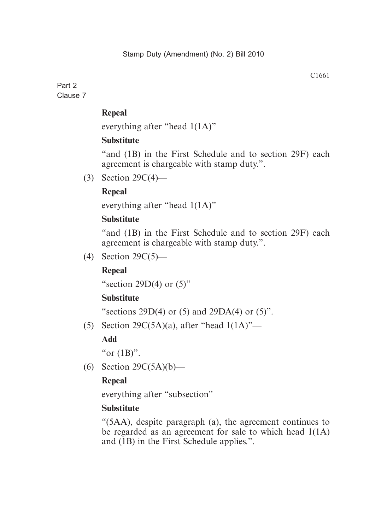everything after "head 1(1A)"

#### **Substitute**

"and (1B) in the First Schedule and to section 29F) each agreement is chargeable with stamp duty.".

(3) Section 29C(4)—

# **Repeal**

everything after "head 1(1A)"

# **Substitute**

"and (1B) in the First Schedule and to section 29F) each agreement is chargeable with stamp duty.".

(4) Section 29C(5)—

# **Repeal**

"section 29D(4) or  $(5)$ "

# **Substitute**

"sections  $29D(4)$  or (5) and  $29DA(4)$  or (5)".

(5) Section 29 $C(5A)(a)$ , after "head  $1(1A)$ "—

# **Add**

"or  $(1B)$ ".

(6) Section  $29C(5A)(b)$ —

# **Repeal**

everything after "subsection"

#### **Substitute**

"(5AA), despite paragraph (a), the agreement continues to be regarded as an agreement for sale to which head 1(1A) and (1B) in the First Schedule applies.".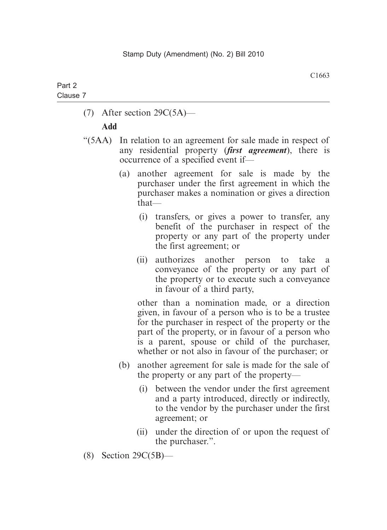(7) After section 29C(5A)—

#### **Add**

- "(5AA) In relation to an agreement for sale made in respect of any residential property (*first agreement*), there is occurrence of a specified event if—
	- (a) another agreement for sale is made by the purchaser under the first agreement in which the purchaser makes a nomination or gives a direction that—
		- (i) transfers, or gives a power to transfer, any benefit of the purchaser in respect of the property or any part of the property under the first agreement; or
		- (ii) authorizes another person to take a conveyance of the property or any part of the property or to execute such a conveyance in favour of a third party,

other than a nomination made, or a direction given, in favour of a person who is to be a trustee for the purchaser in respect of the property or the part of the property, or in favour of a person who is a parent, spouse or child of the purchaser, whether or not also in favour of the purchaser; or

- (b) another agreement for sale is made for the sale of the property or any part of the property—
	- (i) between the vendor under the first agreement and a party introduced, directly or indirectly, to the vendor by the purchaser under the first agreement; or
	- (ii) under the direction of or upon the request of the purchaser.".
- (8) Section 29C(5B)—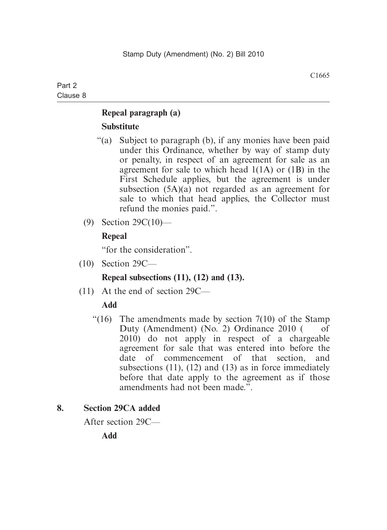# **Repeal paragraph (a) Substitute**

- "(a) Subject to paragraph (b), if any monies have been paid under this Ordinance, whether by way of stamp duty or penalty, in respect of an agreement for sale as an agreement for sale to which head 1(1A) or (1B) in the First Schedule applies, but the agreement is under subsection (5A)(a) not regarded as an agreement for sale to which that head applies, the Collector must refund the monies paid.".
- (9) Section 29C(10)—

# **Repeal**

"for the consideration".

(10) Section 29C—

# **Repeal subsections (11), (12) and (13).**

(11) At the end of section 29C—

# **Add**

"(16) The amendments made by section  $7(10)$  of the Stamp Duty (Amendment) (No. 2) Ordinance  $2010$  ( of 2010) do not apply in respect of a chargeable agreement for sale that was entered into before the date of commencement of that section, and subsections  $(11)$ ,  $(12)$  and  $(13)$  as in force immediately before that date apply to the agreement as if those amendments had not been made.".

# **8. Section 29CA added**

After section 29C—

**Add**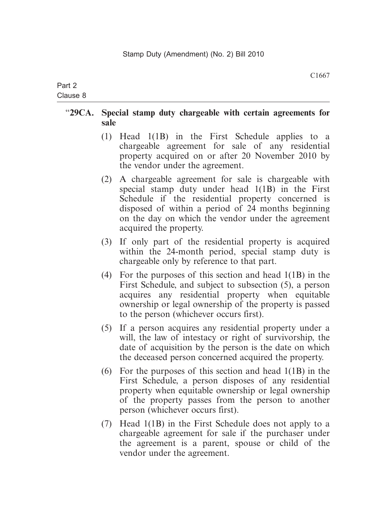# Part 2

#### Clause 8

# "**29CA. Special stamp duty chargeable with certain agreements for sale**

- (1) Head 1(1B) in the First Schedule applies to a chargeable agreement for sale of any residential property acquired on or after 20 November 2010 by the vendor under the agreement.
- (2) A chargeable agreement for sale is chargeable with special stamp duty under head 1(1B) in the First Schedule if the residential property concerned is disposed of within a period of 24 months beginning on the day on which the vendor under the agreement acquired the property.
- (3) If only part of the residential property is acquired within the 24-month period, special stamp duty is chargeable only by reference to that part.
- (4) For the purposes of this section and head 1(1B) in the First Schedule, and subject to subsection (5), a person acquires any residential property when equitable ownership or legal ownership of the property is passed to the person (whichever occurs first).
- (5) If a person acquires any residential property under a will, the law of intestacy or right of survivorship, the date of acquisition by the person is the date on which the deceased person concerned acquired the property.
- (6) For the purposes of this section and head 1(1B) in the First Schedule, a person disposes of any residential property when equitable ownership or legal ownership of the property passes from the person to another person (whichever occurs first).
- (7) Head 1(1B) in the First Schedule does not apply to a chargeable agreement for sale if the purchaser under the agreement is a parent, spouse or child of the vendor under the agreement.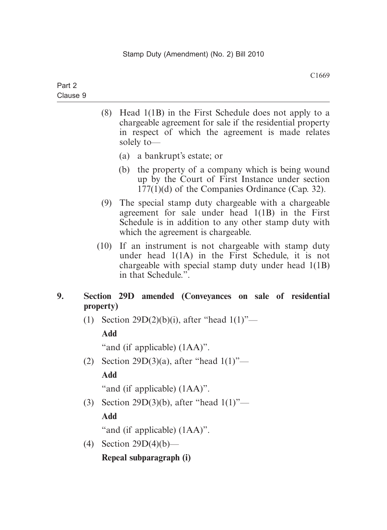| Part 2   |  |  |
|----------|--|--|
| Clause 9 |  |  |

- (8) Head 1(1B) in the First Schedule does not apply to a chargeable agreement for sale if the residential property in respect of which the agreement is made relates solely to—
	- (a) a bankrupt's estate; or
	- (b) the property of a company which is being wound up by the Court of First Instance under section 177(1)(d) of the Companies Ordinance (Cap. 32).
- (9) The special stamp duty chargeable with a chargeable agreement for sale under head 1(1B) in the First Schedule is in addition to any other stamp duty with which the agreement is chargeable.
- (10) If an instrument is not chargeable with stamp duty under head 1(1A) in the First Schedule, it is not chargeable with special stamp duty under head 1(1B) in that Schedule.".

# **9. Section 29D amended (Conveyances on sale of residential property)**

(1) Section 29D(2)(b)(i), after "head  $1(1)$ "-

# **Add**

"and (if applicable) (1AA)".

(2) Section 29D(3)(a), after "head  $1(1)$ "—

# **Add**

"and (if applicable) (1AA)".

(3) Section 29D(3)(b), after "head 1(1)"—

# **Add**

"and (if applicable) (1AA)".

(4) Section 29D(4)(b)—

# **Repeal subparagraph (i)**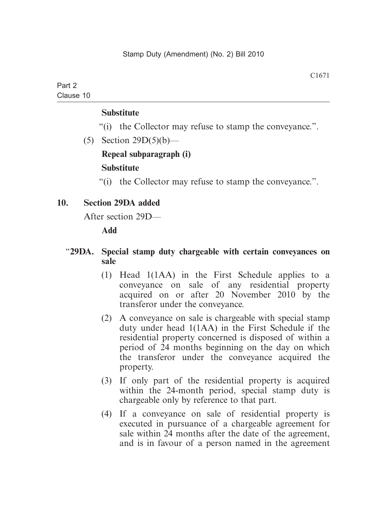#### **Substitute**

"(i) the Collector may refuse to stamp the conveyance.".

(5) Section  $29D(5)(b)$ — **Repeal subparagraph (i) Substitute**

"(i) the Collector may refuse to stamp the conveyance.".

#### **10. Section 29DA added**

After section 29D—

**Add**

#### "**29DA. Special stamp duty chargeable with certain conveyances on sale**

- (1) Head 1(1AA) in the First Schedule applies to a conveyance on sale of any residential property acquired on or after 20 November 2010 by the transferor under the conveyance.
- (2) A conveyance on sale is chargeable with special stamp duty under head 1(1AA) in the First Schedule if the residential property concerned is disposed of within a period of 24 months beginning on the day on which the transferor under the conveyance acquired the property.
- (3) If only part of the residential property is acquired within the 24-month period, special stamp duty is chargeable only by reference to that part.
- (4) If a conveyance on sale of residential property is executed in pursuance of a chargeable agreement for sale within 24 months after the date of the agreement, and is in favour of a person named in the agreement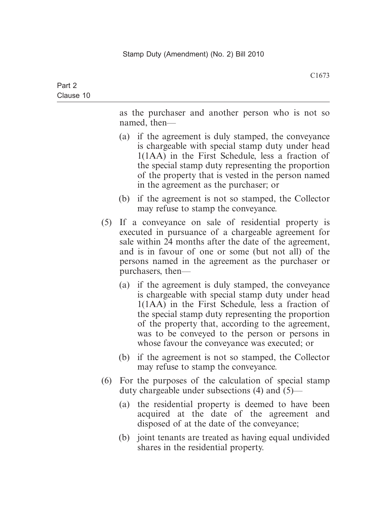as the purchaser and another person who is not so named, then—

- (a) if the agreement is duly stamped, the conveyance is chargeable with special stamp duty under head 1(1AA) in the First Schedule, less a fraction of the special stamp duty representing the proportion of the property that is vested in the person named in the agreement as the purchaser; or
- (b) if the agreement is not so stamped, the Collector may refuse to stamp the conveyance.
- (5) If a conveyance on sale of residential property is executed in pursuance of a chargeable agreement for sale within 24 months after the date of the agreement, and is in favour of one or some (but not all) of the persons named in the agreement as the purchaser or purchasers, then—
	- (a) if the agreement is duly stamped, the conveyance is chargeable with special stamp duty under head 1(1AA) in the First Schedule, less a fraction of the special stamp duty representing the proportion of the property that, according to the agreement, was to be conveyed to the person or persons in whose favour the conveyance was executed; or
	- (b) if the agreement is not so stamped, the Collector may refuse to stamp the conveyance.
- (6) For the purposes of the calculation of special stamp duty chargeable under subsections (4) and (5)—
	- (a) the residential property is deemed to have been acquired at the date of the agreement and disposed of at the date of the conveyance;
	- (b) joint tenants are treated as having equal undivided shares in the residential property.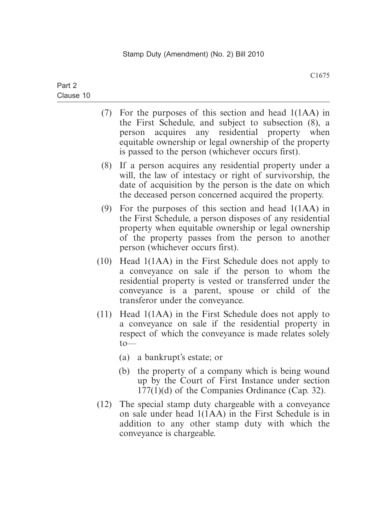- (7) For the purposes of this section and head 1(1AA) in the First Schedule, and subject to subsection (8), a person acquires any residential property when equitable ownership or legal ownership of the property is passed to the person (whichever occurs first).
- (8) If a person acquires any residential property under a will, the law of intestacy or right of survivorship, the date of acquisition by the person is the date on which the deceased person concerned acquired the property.
- (9) For the purposes of this section and head 1(1AA) in the First Schedule, a person disposes of any residential property when equitable ownership or legal ownership of the property passes from the person to another person (whichever occurs first).
- (10) Head 1(1AA) in the First Schedule does not apply to a conveyance on sale if the person to whom the residential property is vested or transferred under the conveyance is a parent, spouse or child of the transferor under the conveyance.
- (11) Head 1(1AA) in the First Schedule does not apply to a conveyance on sale if the residential property in respect of which the conveyance is made relates solely  $to$ —
	- (a) a bankrupt's estate; or
	- (b) the property of a company which is being wound up by the Court of First Instance under section 177(1)(d) of the Companies Ordinance (Cap. 32).
- (12) The special stamp duty chargeable with a conveyance on sale under head 1(1AA) in the First Schedule is in addition to any other stamp duty with which the conveyance is chargeable.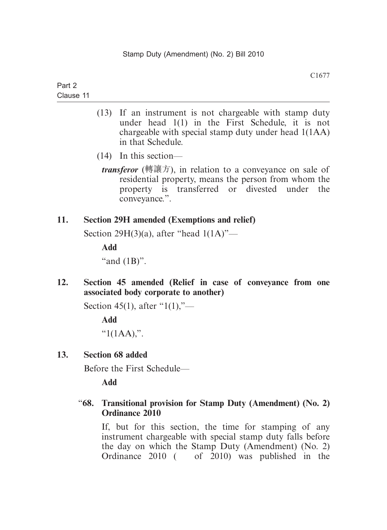- (13) If an instrument is not chargeable with stamp duty under head 1(1) in the First Schedule, it is not chargeable with special stamp duty under head 1(1AA) in that Schedule.
- (14) In this section—
- *transferor* (轉讓方), in relation to a conveyance on sale of residential property, means the person from whom the property is transferred or divested under the conveyance.".

#### **11. Section 29H amended (Exemptions and relief)**

Section 29H(3)(a), after "head 1(1A)"—

**Add**

"and  $(1B)$ ".

**12. Section 45 amended (Relief in case of conveyance from one associated body corporate to another)**

Section 45(1), after "1(1),"—

**Add**

" $1(1AA)$ ".

#### **13. Section 68 added**

Before the First Schedule—

**Add**

#### "**68. Transitional provision for Stamp Duty (Amendment) (No. 2) Ordinance 2010**

If, but for this section, the time for stamping of any instrument chargeable with special stamp duty falls before the day on which the Stamp Duty (Amendment) (No. 2) Ordinance 2010 ( of 2010) was published in the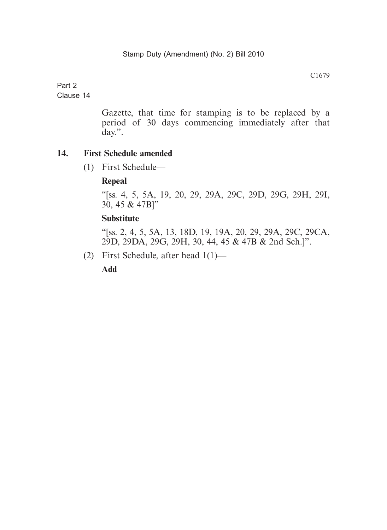# Part 2

Clause 14

Gazette, that time for stamping is to be replaced by a period of 30 days commencing immediately after that day.".

#### **14. First Schedule amended**

(1) First Schedule—

#### **Repeal**

"[ss. 4, 5, 5A, 19, 20, 29, 29A, 29C, 29D, 29G, 29H, 29I, 30, 45 & 47B]"

#### **Substitute**

"[ss. 2, 4, 5, 5A, 13, 18D, 19, 19A, 20, 29, 29A, 29C, 29CA, 29D, 29DA, 29G, 29H, 30, 44, 45 & 47B & 2nd Sch.]".

(2) First Schedule, after head 1(1)—

**Add**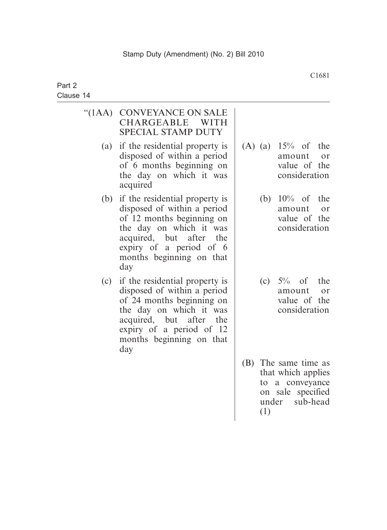| " $(1AA)$ | <b>CONVEYANCE ON SALE</b><br><b>CHARGEABLE</b><br><b>WITH</b><br><b>SPECIAL STAMP DUTY</b>                                                                                                                         |     |           |                                                                                                  |
|-----------|--------------------------------------------------------------------------------------------------------------------------------------------------------------------------------------------------------------------|-----|-----------|--------------------------------------------------------------------------------------------------|
| (a)       | if the residential property is<br>disposed of within a period<br>of 6 months beginning on<br>the day on which it was<br>acquired                                                                                   |     |           | (A) (a) $15%$ of the<br>amount<br>or<br>value of the<br>consideration                            |
| (b)       | if the residential property is<br>disposed of within a period<br>of 12 months beginning on<br>the day on which it was<br>acquired, but after<br>the<br>expiry of a period of 6<br>months beginning on that<br>day  |     |           | (b) $10\%$ of the<br>amount<br>or<br>value of the<br>consideration                               |
| (c)       | if the residential property is<br>disposed of within a period<br>of 24 months beginning on<br>the day on which it was<br>acquired, but after<br>the<br>expiry of a period of 12<br>months beginning on that<br>day |     |           | (c) $5\%$ of the<br>amount<br>or<br>value of the<br>consideration                                |
|           |                                                                                                                                                                                                                    | (B) | to<br>(1) | The same time as<br>that which applies<br>a conveyance<br>on sale specified<br>sub-head<br>under |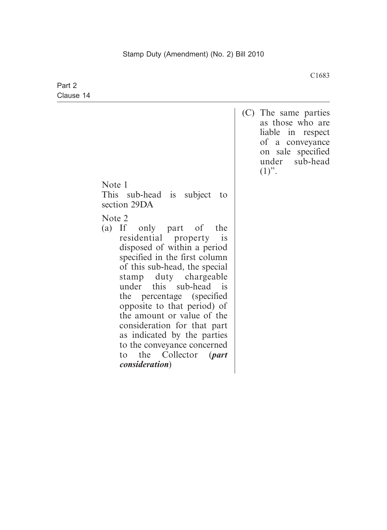| Part 2    |                                                                                                                                                                                                                                                                                                                                                                                                                                                                                             |                                                                                                                                        |
|-----------|---------------------------------------------------------------------------------------------------------------------------------------------------------------------------------------------------------------------------------------------------------------------------------------------------------------------------------------------------------------------------------------------------------------------------------------------------------------------------------------------|----------------------------------------------------------------------------------------------------------------------------------------|
| Clause 14 |                                                                                                                                                                                                                                                                                                                                                                                                                                                                                             |                                                                                                                                        |
|           |                                                                                                                                                                                                                                                                                                                                                                                                                                                                                             | (C) The same parties<br>as those who are<br>liable<br>in respect<br>of a conveyance<br>on sale specified<br>under sub-head<br>$(1)$ ". |
|           | Note 1<br>This sub-head is subject<br>to<br>section 29DA                                                                                                                                                                                                                                                                                                                                                                                                                                    |                                                                                                                                        |
|           | Note 2<br>(a) If only part of<br>the<br>residential property<br>is<br>disposed of within a period<br>specified in the first column<br>of this sub-head, the special<br>stamp duty chargeable<br>this sub-head is<br>under<br>the percentage (specified)<br>opposite to that period) of<br>the amount or value of the<br>consideration for that part<br>as indicated by the parties<br>to the conveyance concerned<br>the<br>Collector<br>$\int$ <i>part</i><br>to<br><i>consideration</i> ) |                                                                                                                                        |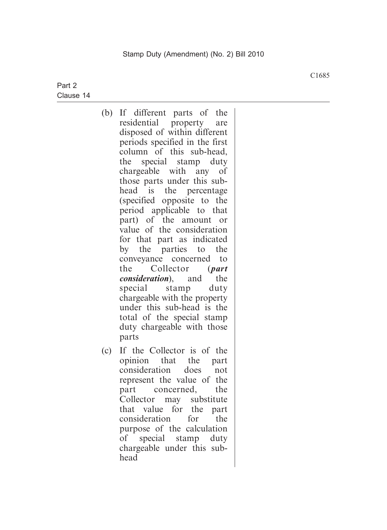- (b) If different parts of the residential property are disposed of within different periods specified in the first column of this sub-head, the special stamp duty chargeable with any of those parts under this subhead is the percentage (specified opposite to the period applicable to that part) of the amount or value of the consideration for that part as indicated by the parties to the conveyance concerned to the Collector (*part consideration*), and the special stamp duty chargeable with the property under this sub-head is the total of the special stamp duty chargeable with those parts
- (c) If the Collector is of the opinion that the part consideration does not represent the value of the part concerned, the Collector may substitute that value for the part consideration for the purpose of the calculation of special stamp duty chargeable under this subhead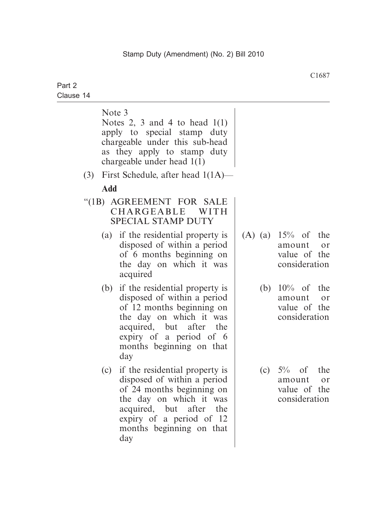|     | Note 3<br>Notes 2, 3 and 4 to head $1(1)$<br>apply to special stamp duty<br>chargeable under this sub-head<br>as they apply to stamp duty<br>chargeable under head $1(1)$                                                                                                                         |
|-----|---------------------------------------------------------------------------------------------------------------------------------------------------------------------------------------------------------------------------------------------------------------------------------------------------|
| (3) | First Schedule, after head $1(1A)$ —                                                                                                                                                                                                                                                              |
|     | <b>Add</b>                                                                                                                                                                                                                                                                                        |
|     | "(1B) AGREEMENT FOR SALE<br>CHARGEABLE<br>WITH<br><b>SPECIAL STAMP DUTY</b>                                                                                                                                                                                                                       |
|     | (A) (a) $15%$ of the<br>(a) if the residential property is<br>disposed of within a period<br>amount<br>or<br>of 6 months beginning on<br>value of the<br>the day on which it was<br>consideration<br>acquired                                                                                     |
|     | if the residential property is<br>(b)<br>$10\%$ of<br>the<br>(b)<br>disposed of within a period<br>amount<br>or<br>of 12 months beginning on<br>value of the<br>the day on which it was<br>consideration<br>acquired, but after the<br>expiry of a period of 6<br>months beginning on that<br>day |
|     | if the residential property is<br>$5\%$ of the<br>(c)<br>(c)<br>disposed of within a period<br>amount<br>or<br>of 24 months beginning on<br>value of the<br>the day on which it was<br>consideration<br>acquired, but after the<br>expiry of a period of 12<br>months beginning on that<br>day    |
|     |                                                                                                                                                                                                                                                                                                   |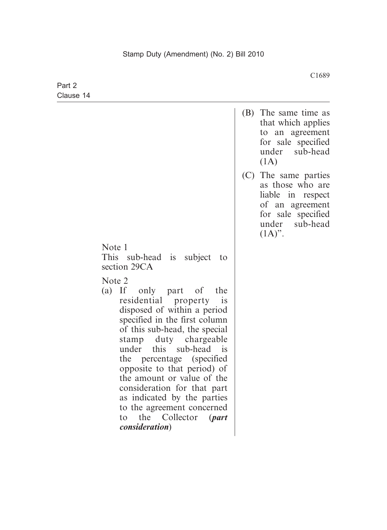|                                                                                                                                                                                                                                                                                                                                                                                                                                                                | (B) The same time as<br>that which applies<br>to an agreement<br>for sale specified<br>under sub-head<br>(1A)                         |
|----------------------------------------------------------------------------------------------------------------------------------------------------------------------------------------------------------------------------------------------------------------------------------------------------------------------------------------------------------------------------------------------------------------------------------------------------------------|---------------------------------------------------------------------------------------------------------------------------------------|
|                                                                                                                                                                                                                                                                                                                                                                                                                                                                | (C) The same parties<br>as those who are<br>liable in respect<br>of an agreement<br>for sale specified<br>under sub-head<br>$(1A)$ ". |
| Note 1<br>This sub-head is subject<br>to<br>section 29CA                                                                                                                                                                                                                                                                                                                                                                                                       |                                                                                                                                       |
| Note 2<br>(a) If only part of the<br>residential property is<br>disposed of within a period<br>specified in the first column<br>of this sub-head, the special<br>stamp duty chargeable<br>this sub-head is<br>under<br>the percentage (specified)<br>opposite to that period) of<br>the amount or value of the<br>consideration for that part<br>as indicated by the parties<br>to the agreement concerned<br>to the Collector (part<br><i>consideration</i> ) |                                                                                                                                       |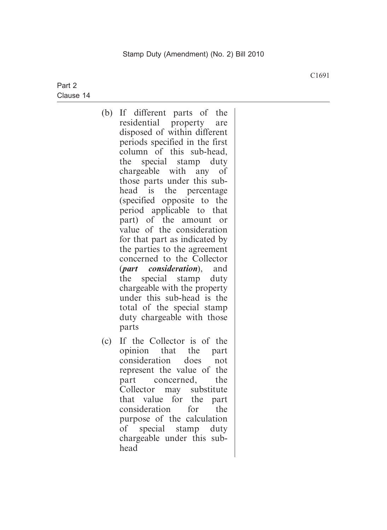- (b) If different parts of the residential property are disposed of within different periods specified in the first column of this sub-head, the special stamp duty chargeable with any of those parts under this subhead is the percentage (specified opposite to the period applicable to that part) of the amount or value of the consideration for that part as indicated by the parties to the agreement concerned to the Collector (*part consideration*), and the special stamp duty chargeable with the property under this sub-head is the total of the special stamp duty chargeable with those parts
- (c) If the Collector is of the opinion that the part consideration does not represent the value of the part concerned, the Collector may substitute that value for the part consideration for the purpose of the calculation of special stamp duty chargeable under this subhead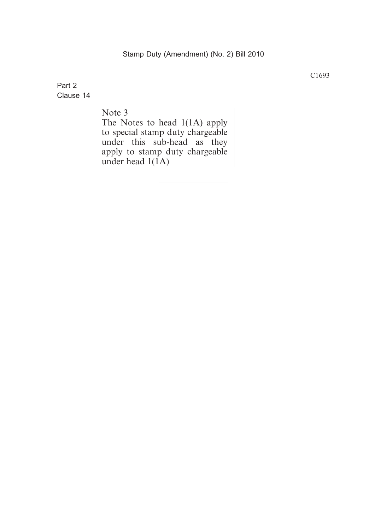Note 3

The Notes to head 1(1A) apply to special stamp duty chargeable under this sub-head as they apply to stamp duty chargeable under head  $1(1A)$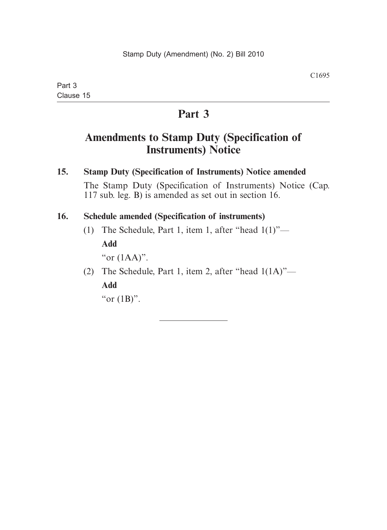# **Part 3**

# **Amendments to Stamp Duty (Specification of Instruments) Notice**

**15. Stamp Duty (Specification of Instruments) Notice amended** The Stamp Duty (Specification of Instruments) Notice (Cap. 117 sub. leg. B) is amended as set out in section 16.

# **16. Schedule amended (Specification of instruments)**

(1) The Schedule, Part 1, item 1, after "head  $1(1)$ "—

**Add**

"or (1AA)".

 (2) The Schedule, Part 1, item 2, after "head 1(1A)"— **Add**

"or  $(1B)$ ".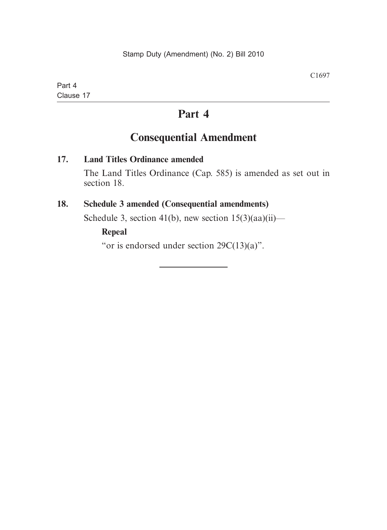# **Part 4**

# **Consequential Amendment**

#### **17. Land Titles Ordinance amended**

The Land Titles Ordinance (Cap. 585) is amended as set out in section 18.

#### **18. Schedule 3 amended (Consequential amendments)**

Schedule 3, section 41(b), new section  $15(3)(aa)(ii)$ —

# **Repeal**

"or is endorsed under section  $29C(13)(a)$ ".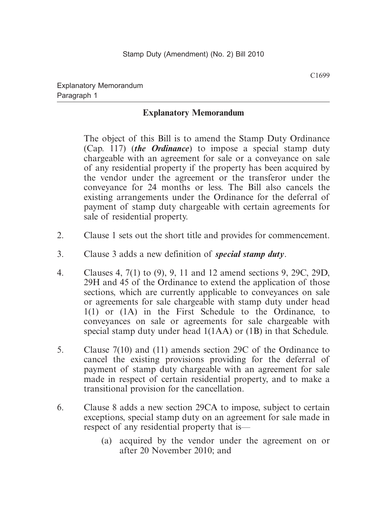# **Explanatory Memorandum**

 The object of this Bill is to amend the Stamp Duty Ordinance (Cap. 117) (*the Ordinance*) to impose a special stamp duty chargeable with an agreement for sale or a conveyance on sale of any residential property if the property has been acquired by the vendor under the agreement or the transferor under the conveyance for 24 months or less. The Bill also cancels the existing arrangements under the Ordinance for the deferral of payment of stamp duty chargeable with certain agreements for sale of residential property.

- 2. Clause 1 sets out the short title and provides for commencement.
- 3. Clause 3 adds a new definition of *special stamp duty*.
- 4. Clauses 4, 7(1) to (9), 9, 11 and 12 amend sections 9, 29C, 29D, 29H and 45 of the Ordinance to extend the application of those sections, which are currently applicable to conveyances on sale or agreements for sale chargeable with stamp duty under head 1(1) or (1A) in the First Schedule to the Ordinance, to conveyances on sale or agreements for sale chargeable with special stamp duty under head 1(1AA) or (1B) in that Schedule.
- 5. Clause 7(10) and (11) amends section 29C of the Ordinance to cancel the existing provisions providing for the deferral of payment of stamp duty chargeable with an agreement for sale made in respect of certain residential property, and to make a transitional provision for the cancellation.
- 6. Clause 8 adds a new section 29CA to impose, subject to certain exceptions, special stamp duty on an agreement for sale made in respect of any residential property that is—
	- (a) acquired by the vendor under the agreement on or after 20 November 2010; and